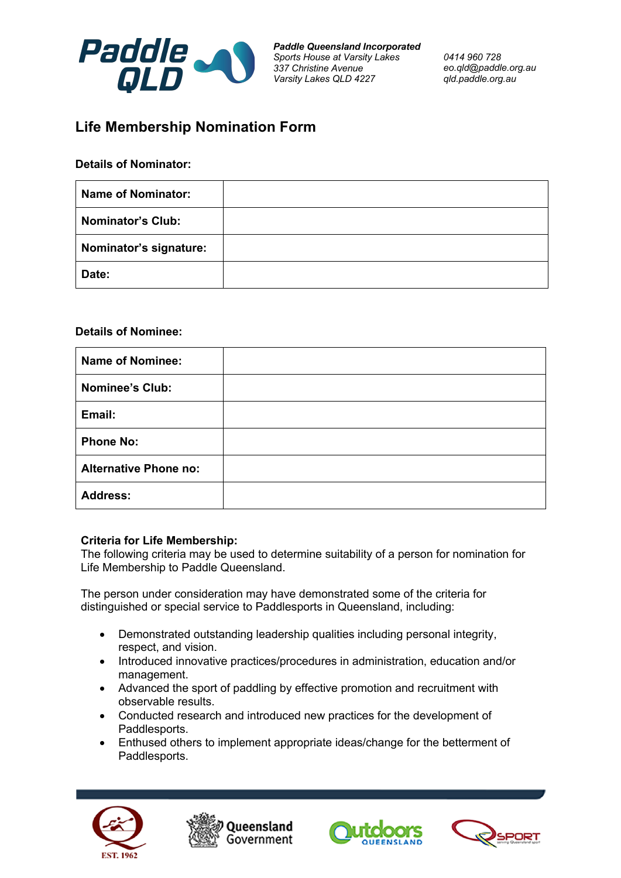

*Paddle Queensland Incorporated Sports House at Varsity Lakes 337 Christine Avenue Varsity Lakes QLD 4227*

*0414 960 728 eo.qld@paddle.org.au qld.paddle.org.au*

## **Life Membership Nomination Form**

## **Details of Nominator:**

| <b>Name of Nominator:</b> |  |
|---------------------------|--|
| <b>Nominator's Club:</b>  |  |
| Nominator's signature:    |  |
| Date:                     |  |

## **Details of Nominee:**

| <b>Name of Nominee:</b>      |  |
|------------------------------|--|
| <b>Nominee's Club:</b>       |  |
| Email:                       |  |
| <b>Phone No:</b>             |  |
| <b>Alternative Phone no:</b> |  |
| <b>Address:</b>              |  |

## **Criteria for Life Membership:**

The following criteria may be used to determine suitability of a person for nomination for Life Membership to Paddle Queensland.

The person under consideration may have demonstrated some of the criteria for distinguished or special service to Paddlesports in Queensland, including:

- Demonstrated outstanding leadership qualities including personal integrity, respect, and vision.
- Introduced innovative practices/procedures in administration, education and/or management.
- Advanced the sport of paddling by effective promotion and recruitment with observable results.
- Conducted research and introduced new practices for the development of Paddlesports.
- Enthused others to implement appropriate ideas/change for the betterment of Paddlesports.